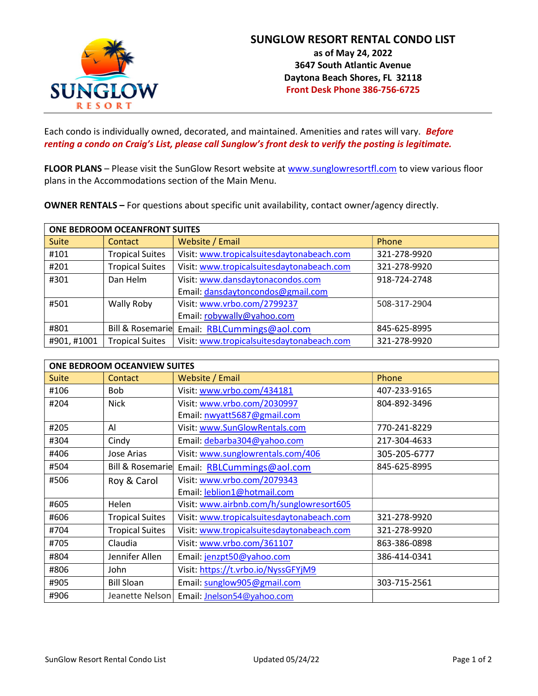

Each condo is individually owned, decorated, and maintained. Amenities and rates will vary. Before renting a condo on Craig's List, please call Sunglow's front desk to verify the posting is legitimate.

FLOOR PLANS – Please visit the SunGlow Resort website at www.sunglowresortfl.com to view various floor plans in the Accommodations section of the Main Menu.

OWNER RENTALS – For questions about specific unit availability, contact owner/agency directly.

| ONE BEDROOM OCEANFRONT SUITES |                        |                                             |              |
|-------------------------------|------------------------|---------------------------------------------|--------------|
| <b>Suite</b>                  | Contact                | Website / Email                             | Phone        |
| #101                          | <b>Tropical Suites</b> | Visit: www.tropicalsuitesdaytonabeach.com   | 321-278-9920 |
| #201                          | <b>Tropical Suites</b> | Visit: www.tropicalsuitesdaytonabeach.com   | 321-278-9920 |
| #301                          | Dan Helm               | Visit: www.dansdaytonacondos.com            | 918-724-2748 |
|                               |                        | Email: dansdaytoncondos@gmail.com           |              |
| #501                          | Wally Roby             | Visit: www.vrbo.com/2799237                 | 508-317-2904 |
|                               |                        | Email: robywally@yahoo.com                  |              |
| #801                          |                        | Bill & Rosemarie Email: RBLCummings@aol.com | 845-625-8995 |
| #901, #1001                   | <b>Tropical Suites</b> | Visit: www.tropicalsuitesdaytonabeach.com   | 321-278-9920 |

| <b>ONE BEDROOM OCEANVIEW SUITES</b> |                        |                                            |              |
|-------------------------------------|------------------------|--------------------------------------------|--------------|
| <b>Suite</b>                        | Contact                | Website / Email                            | Phone        |
| #106                                | <b>Bob</b>             | Visit: www.vrbo.com/434181                 | 407-233-9165 |
| #204                                | <b>Nick</b>            | Visit: www.vrbo.com/2030997                | 804-892-3496 |
|                                     |                        | Email: nwyatt5687@gmail.com                |              |
| #205                                | Al                     | Visit: www.SunGlowRentals.com              | 770-241-8229 |
| #304                                | Cindy                  | Email: debarba304@yahoo.com                | 217-304-4633 |
| #406                                | Jose Arias             | Visit: www.sunglowrentals.com/406          | 305-205-6777 |
| #504                                | Bill & Rosemarie       | Email: RBLCummings@aol.com                 | 845-625-8995 |
| #506                                | Roy & Carol            | Visit: www.vrbo.com/2079343                |              |
|                                     |                        | Email: leblion1@hotmail.com                |              |
| #605                                | Helen                  | Visit: www.airbnb.com/h/sunglowresort605   |              |
| #606                                | <b>Tropical Suites</b> | Visit: www.tropicalsuitesdaytonabeach.com  | 321-278-9920 |
| #704                                | <b>Tropical Suites</b> | Visit: www.tropicalsuitesdaytonabeach.com  | 321-278-9920 |
| #705                                | Claudia                | Visit: www.vrbo.com/361107                 | 863-386-0898 |
| #804                                | Jennifer Allen         | Email: jenzpt50@yahoo.com                  | 386-414-0341 |
| #806                                | John                   | Visit: https://t.vrbo.io/NyssGFYjM9        |              |
| #905                                | <b>Bill Sloan</b>      | Email: sunglow905@gmail.com                | 303-715-2561 |
| #906                                |                        | Jeanette Nelson Email: Inelson54@yahoo.com |              |